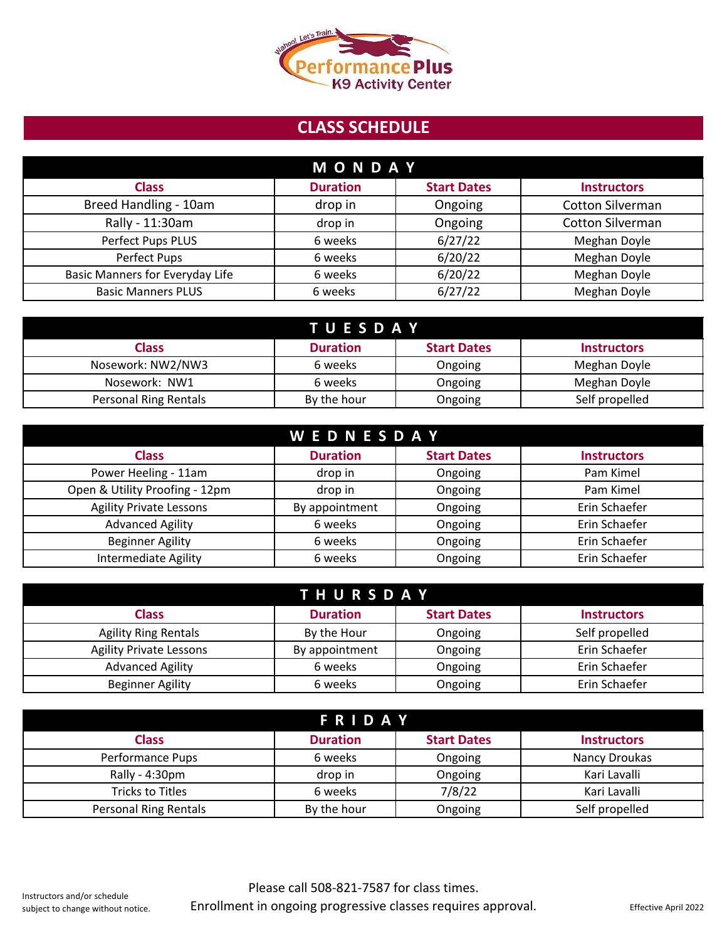

## **CLASS SCHEDULE**

| <b>MONDAY</b>                   |                 |                    |                         |
|---------------------------------|-----------------|--------------------|-------------------------|
| <b>Class</b>                    | <b>Duration</b> | <b>Start Dates</b> | <b>Instructors</b>      |
| Breed Handling - 10am           | drop in         | Ongoing            | <b>Cotton Silverman</b> |
| Rally - 11:30am                 | drop in         | Ongoing            | <b>Cotton Silverman</b> |
| Perfect Pups PLUS               | 6 weeks         | 6/27/22            | Meghan Doyle            |
| Perfect Pups                    | 6 weeks         | 6/20/22            | Meghan Doyle            |
| Basic Manners for Everyday Life | 6 weeks         | 6/20/22            | Meghan Doyle            |
| <b>Basic Manners PLUS</b>       | 6 weeks         | 6/27/22            | Meghan Doyle            |

| <b>TUESDAY</b>               |                 |                    |                    |
|------------------------------|-----------------|--------------------|--------------------|
| Class                        | <b>Duration</b> | <b>Start Dates</b> | <b>Instructors</b> |
| Nosework: NW2/NW3            | 6 weeks         | Ongoing            | Meghan Doyle       |
| Nosework: NW1                | 6 weeks         | Ongoing            | Meghan Doyle       |
| <b>Personal Ring Rentals</b> | By the hour     | Ongoing            | Self propelled     |

| <b>WEDNESDAY</b>               |                 |                    |                    |
|--------------------------------|-----------------|--------------------|--------------------|
| <b>Class</b>                   | <b>Duration</b> | <b>Start Dates</b> | <b>Instructors</b> |
| Power Heeling - 11am           | drop in         | Ongoing            | Pam Kimel          |
| Open & Utility Proofing - 12pm | drop in         | Ongoing            | Pam Kimel          |
| <b>Agility Private Lessons</b> | By appointment  | Ongoing            | Erin Schaefer      |
| <b>Advanced Agility</b>        | 6 weeks         | Ongoing            | Erin Schaefer      |
| <b>Beginner Agility</b>        | 6 weeks         | Ongoing            | Erin Schaefer      |
| <b>Intermediate Agility</b>    | 6 weeks         | Ongoing            | Erin Schaefer      |

| <b>THURSDAY</b>                |                 |                    |                    |
|--------------------------------|-----------------|--------------------|--------------------|
| <b>Class</b>                   | <b>Duration</b> | <b>Start Dates</b> | <b>Instructors</b> |
| <b>Agility Ring Rentals</b>    | By the Hour     | Ongoing            | Self propelled     |
| <b>Agility Private Lessons</b> | By appointment  | Ongoing            | Erin Schaefer      |
| <b>Advanced Agility</b>        | 6 weeks         | Ongoing            | Erin Schaefer      |
| Beginner Agility               | 6 weeks         | Ongoing            | Erin Schaefer      |

| <b>FRIDAY</b>         |                 |                    |                    |
|-----------------------|-----------------|--------------------|--------------------|
| <b>Class</b>          | <b>Duration</b> | <b>Start Dates</b> | <b>Instructors</b> |
| Performance Pups      | 6 weeks         | Ongoing            | Nancy Droukas      |
| Rally - 4:30pm        | drop in         | Ongoing            | Kari Lavalli       |
| Tricks to Titles      | 6 weeks         | 7/8/22             | Kari Lavalli       |
| Personal Ring Rentals | By the hour     | Ongoing            | Self propelled     |